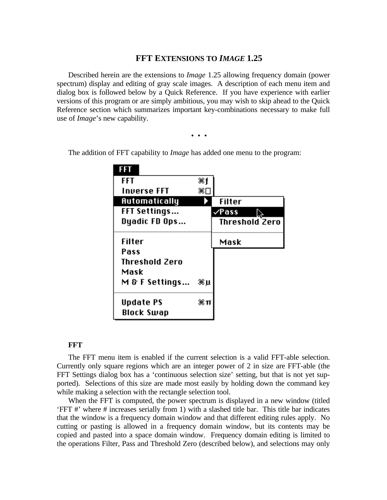## **FFT EXTENSIONS TO** *IMAGE* **1.25**

Described herein are the extensions to *Image* 1.25 allowing frequency domain (power spectrum) display and editing of gray scale images. A description of each menu item and dialog box is followed below by a Quick Reference. If you have experience with earlier versions of this program or are simply ambitious, you may wish to skip ahead to the Quick Reference section which summarizes important key-combinations necessary to make full use of *Image*'s new capability.

• • •

| <b>FFT</b>            | 3€1 |                       |
|-----------------------|-----|-----------------------|
| <b>Inverse FFT</b>    | ЖI  |                       |
| Automatically         |     | Filter                |
| <b>FFT Settings</b>   |     | ∠Pass                 |
| Dyadic FD Ops         |     | <b>Threshold Zero</b> |
| Filter                |     | Mask                  |
| Pass                  |     |                       |
| <b>Threshold Zero</b> |     |                       |
| Mask                  |     |                       |
| $M \& F$ Settings     | Жµ  |                       |
| Update PS             | æπ  |                       |
| Block Swap            |     |                       |

The addition of FFT capability to *Image* has added one menu to the program:

## **FFT**

The FFT menu item is enabled if the current selection is a valid FFT-able selection. Currently only square regions which are an integer power of 2 in size are FFT-able (the FFT Settings dialog box has a 'continuous selection size' setting, but that is not yet supported). Selections of this size are made most easily by holding down the command key while making a selection with the rectangle selection tool.

When the FFT is computed, the power spectrum is displayed in a new window (titled 'FFT #' where # increases serially from 1) with a slashed title bar. This title bar indicates that the window is a frequency domain window and that different editing rules apply. No cutting or pasting is allowed in a frequency domain window, but its contents may be copied and pasted into a space domain window. Frequency domain editing is limited to the operations Filter, Pass and Threshold Zero (described below), and selections may only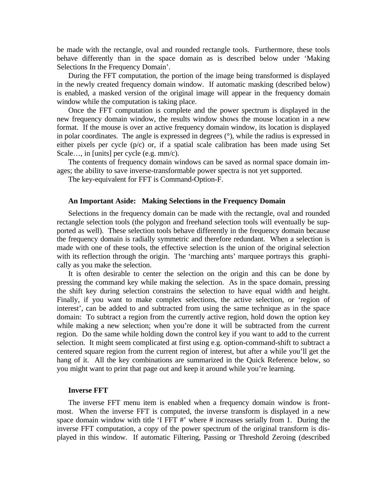be made with the rectangle, oval and rounded rectangle tools. Furthermore, these tools behave differently than in the space domain as is described below under 'Making Selections In the Frequency Domain'.

During the FFT computation, the portion of the image being transformed is displayed in the newly created frequency domain window. If automatic masking (described below) is enabled, a masked version of the original image will appear in the frequency domain window while the computation is taking place.

Once the FFT computation is complete and the power spectrum is displayed in the new frequency domain window, the results window shows the mouse location in a new format. If the mouse is over an active frequency domain window, its location is displayed in polar coordinates. The angle is expressed in degrees (°), while the radius is expressed in either pixels per cycle (p/c) or, if a spatial scale calibration has been made using Set Scale…, in [units] per cycle (e.g. mm/c).

The contents of frequency domain windows can be saved as normal space domain images; the ability to save inverse-transformable power spectra is not yet supported.

The key-equivalent for FFT is Command-Option-F.

#### **An Important Aside: Making Selections in the Frequency Domain**

Selections in the frequency domain can be made with the rectangle, oval and rounded rectangle selection tools (the polygon and freehand selection tools will eventually be supported as well). These selection tools behave differently in the frequency domain because the frequency domain is radially symmetric and therefore redundant. When a selection is made with one of these tools, the effective selection is the union of the original selection with its reflection through the origin. The 'marching ants' marquee portrays this graphically as you make the selection.

It is often desirable to center the selection on the origin and this can be done by pressing the command key while making the selection. As in the space domain, pressing the shift key during selection constrains the selection to have equal width and height. Finally, if you want to make complex selections, the active selection, or 'region of interest', can be added to and subtracted from using the same technique as in the space domain: To subtract a region from the currently active region, hold down the option key while making a new selection; when you're done it will be subtracted from the current region. Do the same while holding down the control key if you want to add to the current selection. It might seem complicated at first using e.g. option-command-shift to subtract a centered square region from the current region of interest, but after a while you'll get the hang of it. All the key combinations are summarized in the Quick Reference below, so you might want to print that page out and keep it around while you're learning.

#### **Inverse FFT**

The inverse FFT menu item is enabled when a frequency domain window is frontmost. When the inverse FFT is computed, the inverse transform is displayed in a new space domain window with title 'I FFT #' where # increases serially from 1. During the inverse FFT computation, a copy of the power spectrum of the original transform is displayed in this window. If automatic Filtering, Passing or Threshold Zeroing (described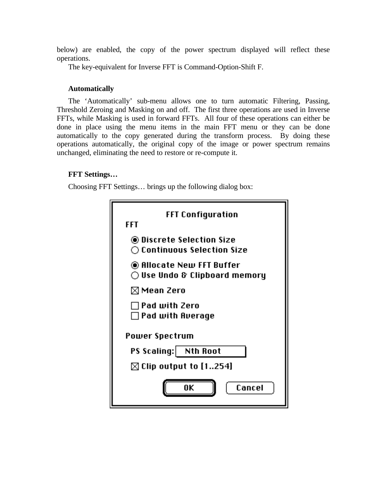below) are enabled, the copy of the power spectrum displayed will reflect these operations.

The key-equivalent for Inverse FFT is Command-Option-Shift F.

# **Automatically**

The 'Automatically' sub-menu allows one to turn automatic Filtering, Passing, Threshold Zeroing and Masking on and off. The first three operations are used in Inverse FFTs, while Masking is used in forward FFTs. All four of these operations can either be done in place using the menu items in the main FFT menu or they can be done automatically to the copy generated during the transform process. By doing these operations automatically, the original copy of the image or power spectrum remains unchanged, eliminating the need to restore or re-compute it.

# **FFT Settings…**

Choosing FFT Settings… brings up the following dialog box:

| FFT Configuration<br>FFT                                            |  |  |
|---------------------------------------------------------------------|--|--|
| ◉ Discrete Selection Size<br>$\bigcirc$ Continuous Selection Size   |  |  |
| ◉ Allocate New FFT Buffer<br>$\bigcirc$ Use Undo & Clipboard memory |  |  |
| $\boxtimes$ Mean Zero                                               |  |  |
| ∩ Pad with Zero<br>$\Box$ Pad with Average                          |  |  |
| Power Spectrum                                                      |  |  |
| PS Scaling: Nth Root                                                |  |  |
| $\boxtimes$ Clip output to [1254]                                   |  |  |
| ŪΚ<br>Cancel                                                        |  |  |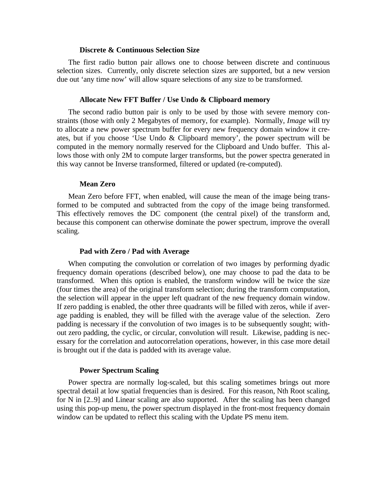## **Discrete & Continuous Selection Size**

The first radio button pair allows one to choose between discrete and continuous selection sizes. Currently, only discrete selection sizes are supported, but a new version due out 'any time now' will allow square selections of any size to be transformed.

#### **Allocate New FFT Buffer / Use Undo & Clipboard memory**

The second radio button pair is only to be used by those with severe memory constraints (those with only 2 Megabytes of memory, for example). Normally, *Image* will try to allocate a new power spectrum buffer for every new frequency domain window it creates, but if you choose 'Use Undo & Clipboard memory', the power spectrum will be computed in the memory normally reserved for the Clipboard and Undo buffer. This allows those with only 2M to compute larger transforms, but the power spectra generated in this way cannot be Inverse transformed, filtered or updated (re-computed).

#### **Mean Zero**

Mean Zero before FFT, when enabled, will cause the mean of the image being transformed to be computed and subtracted from the copy of the image being transformed. This effectively removes the DC component (the central pixel) of the transform and, because this component can otherwise dominate the power spectrum, improve the overall scaling.

#### **Pad with Zero / Pad with Average**

When computing the convolution or correlation of two images by performing dyadic frequency domain operations (described below), one may choose to pad the data to be transformed. When this option is enabled, the transform window will be twice the size (four times the area) of the original transform selection; during the transform computation, the selection will appear in the upper left quadrant of the new frequency domain window. If zero padding is enabled, the other three quadrants will be filled with zeros, while if average padding is enabled, they will be filled with the average value of the selection. Zero padding is necessary if the convolution of two images is to be subsequently sought; without zero padding, the cyclic, or circular, convolution will result. Likewise, padding is necessary for the correlation and autocorrelation operations, however, in this case more detail is brought out if the data is padded with its average value.

#### **Power Spectrum Scaling**

Power spectra are normally log-scaled, but this scaling sometimes brings out more spectral detail at low spatial frequencies than is desired. For this reason, Nth Root scaling, for N in [2..9] and Linear scaling are also supported. After the scaling has been changed using this pop-up menu, the power spectrum displayed in the front-most frequency domain window can be updated to reflect this scaling with the Update PS menu item.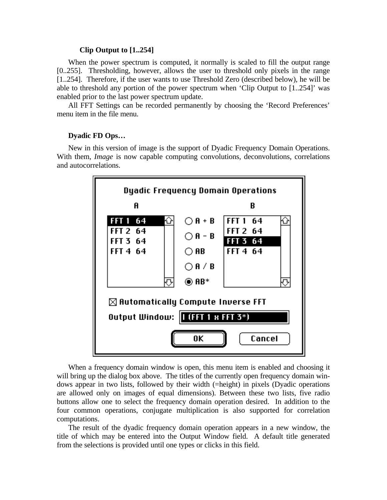#### **Clip Output to [1..254]**

When the power spectrum is computed, it normally is scaled to fill the output range [0..255]. Thresholding, however, allows the user to threshold only pixels in the range [1..254]. Therefore, if the user wants to use Threshold Zero (described below), he will be able to threshold any portion of the power spectrum when 'Clip Output to [1..254]' was enabled prior to the last power spectrum update.

All FFT Settings can be recorded permanently by choosing the 'Record Preferences' menu item in the file menu.

## **Dyadic FD Ops…**

New in this version of image is the support of Dyadic Frequency Domain Operations. With them, *Image* is now capable computing convolutions, deconvolutions, correlations and autocorrelations.



When a frequency domain window is open, this menu item is enabled and choosing it will bring up the dialog box above. The titles of the currently open frequency domain windows appear in two lists, followed by their width (=height) in pixels (Dyadic operations are allowed only on images of equal dimensions). Between these two lists, five radio buttons allow one to select the frequency domain operation desired. In addition to the four common operations, conjugate multiplication is also supported for correlation computations.

The result of the dyadic frequency domain operation appears in a new window, the title of which may be entered into the Output Window field. A default title generated from the selections is provided until one types or clicks in this field.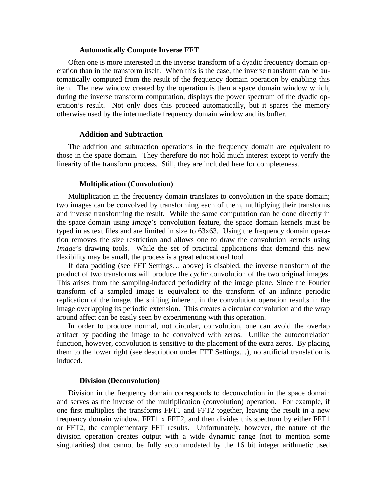#### **Automatically Compute Inverse FFT**

Often one is more interested in the inverse transform of a dyadic frequency domain operation than in the transform itself. When this is the case, the inverse transform can be automatically computed from the result of the frequency domain operation by enabling this item. The new window created by the operation is then a space domain window which, during the inverse transform computation, displays the power spectrum of the dyadic operation's result. Not only does this proceed automatically, but it spares the memory otherwise used by the intermediate frequency domain window and its buffer.

#### **Addition and Subtraction**

The addition and subtraction operations in the frequency domain are equivalent to those in the space domain. They therefore do not hold much interest except to verify the linearity of the transform process. Still, they are included here for completeness.

#### **Multiplication (Convolution)**

Multiplication in the frequency domain translates to convolution in the space domain; two images can be convolved by transforming each of them, multiplying their transforms and inverse transforming the result. While the same computation can be done directly in the space domain using *Image*'s convolution feature, the space domain kernels must be typed in as text files and are limited in size to 63x63. Using the frequency domain operation removes the size restriction and allows one to draw the convolution kernels using *Image*'s drawing tools. While the set of practical applications that demand this new flexibility may be small, the process is a great educational tool.

If data padding (see FFT Settings… above) is disabled, the inverse transform of the product of two transforms will produce the *cyclic* convolution of the two original images. This arises from the sampling-induced periodicity of the image plane. Since the Fourier transform of a sampled image is equivalent to the transform of an infinite periodic replication of the image, the shifting inherent in the convolution operation results in the image overlapping its periodic extension. This creates a circular convolution and the wrap around affect can be easily seen by experimenting with this operation.

In order to produce normal, not circular, convolution, one can avoid the overlap artifact by padding the image to be convolved with zeros. Unlike the autocorrelation function, however, convolution is sensitive to the placement of the extra zeros. By placing them to the lower right (see description under FFT Settings…), no artificial translation is induced.

#### **Division (Deconvolution)**

Division in the frequency domain corresponds to deconvolution in the space domain and serves as the inverse of the multiplication (convolution) operation. For example, if one first multiplies the transforms FFT1 and FFT2 together, leaving the result in a new frequency domain window, FFT1 x FFT2, and then divides this spectrum by either FFT1 or FFT2, the complementary FFT results. Unfortunately, however, the nature of the division operation creates output with a wide dynamic range (not to mention some singularities) that cannot be fully accommodated by the 16 bit integer arithmetic used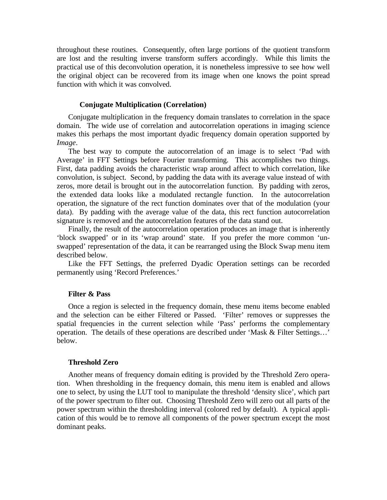throughout these routines. Consequently, often large portions of the quotient transform are lost and the resulting inverse transform suffers accordingly. While this limits the practical use of this deconvolution operation, it is nonetheless impressive to see how well the original object can be recovered from its image when one knows the point spread function with which it was convolved.

## **Conjugate Multiplication (Correlation)**

Conjugate multiplication in the frequency domain translates to correlation in the space domain. The wide use of correlation and autocorrelation operations in imaging science makes this perhaps the most important dyadic frequency domain operation supported by *Image*.

The best way to compute the autocorrelation of an image is to select 'Pad with Average' in FFT Settings before Fourier transforming. This accomplishes two things. First, data padding avoids the characteristic wrap around affect to which correlation, like convolution, is subject. Second, by padding the data with its average value instead of with zeros, more detail is brought out in the autocorrelation function. By padding with zeros, the extended data looks like a modulated rectangle function. In the autocorrelation operation, the signature of the rect function dominates over that of the modulation (your data). By padding with the average value of the data, this rect function autocorrelation signature is removed and the autocorrelation features of the data stand out.

Finally, the result of the autocorrelation operation produces an image that is inherently 'block swapped' or in its 'wrap around' state. If you prefer the more common 'unswapped' representation of the data, it can be rearranged using the Block Swap menu item described below.

Like the FFT Settings, the preferred Dyadic Operation settings can be recorded permanently using 'Record Preferences.'

## **Filter & Pass**

Once a region is selected in the frequency domain, these menu items become enabled and the selection can be either Filtered or Passed. 'Filter' removes or suppresses the spatial frequencies in the current selection while 'Pass' performs the complementary operation. The details of these operations are described under 'Mask & Filter Settings…' below.

## **Threshold Zero**

Another means of frequency domain editing is provided by the Threshold Zero operation. When thresholding in the frequency domain, this menu item is enabled and allows one to select, by using the LUT tool to manipulate the threshold 'density slice', which part of the power spectrum to filter out. Choosing Threshold Zero will zero out all parts of the power spectrum within the thresholding interval (colored red by default). A typical application of this would be to remove all components of the power spectrum except the most dominant peaks.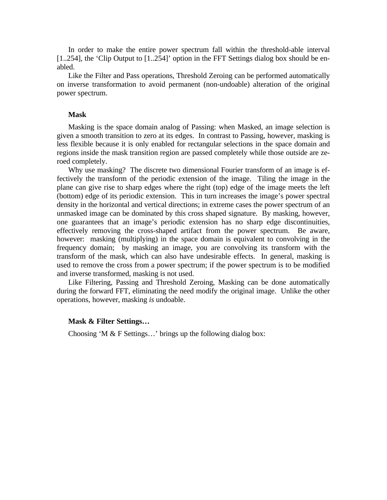In order to make the entire power spectrum fall within the threshold-able interval [1..254], the 'Clip Output to [1..254]' option in the FFT Settings dialog box should be enabled.

Like the Filter and Pass operations, Threshold Zeroing can be performed automatically on inverse transformation to avoid permanent (non-undoable) alteration of the original power spectrum.

## **Mask**

Masking is the space domain analog of Passing: when Masked, an image selection is given a smooth transition to zero at its edges. In contrast to Passing, however, masking is less flexible because it is only enabled for rectangular selections in the space domain and regions inside the mask transition region are passed completely while those outside are zeroed completely.

Why use masking? The discrete two dimensional Fourier transform of an image is effectively the transform of the periodic extension of the image. Tiling the image in the plane can give rise to sharp edges where the right (top) edge of the image meets the left (bottom) edge of its periodic extension. This in turn increases the image's power spectral density in the horizontal and vertical directions; in extreme cases the power spectrum of an unmasked image can be dominated by this cross shaped signature. By masking, however, one guarantees that an image's periodic extension has no sharp edge discontinuities, effectively removing the cross-shaped artifact from the power spectrum. Be aware, however: masking (multiplying) in the space domain is equivalent to convolving in the frequency domain; by masking an image, you are convolving its transform with the transform of the mask, which can also have undesirable effects. In general, masking is used to remove the cross from a power spectrum; if the power spectrum is to be modified and inverse transformed, masking is not used.

Like Filtering, Passing and Threshold Zeroing, Masking can be done automatically during the forward FFT, eliminating the need modify the original image. Unlike the other operations, however, masking *is* undoable.

#### **Mask & Filter Settings…**

Choosing 'M & F Settings…' brings up the following dialog box: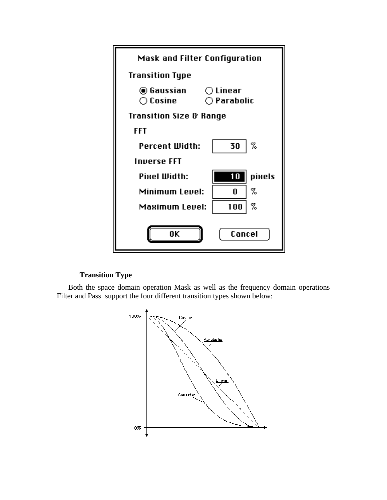

# **Transition Type**

Both the space domain operation Mask as well as the frequency domain operations Filter and Pass support the four different transition types shown below:

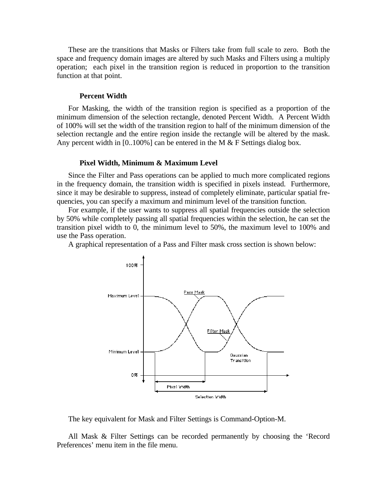These are the transitions that Masks or Filters take from full scale to zero. Both the space and frequency domain images are altered by such Masks and Filters using a multiply operation; each pixel in the transition region is reduced in proportion to the transition function at that point.

#### **Percent Width**

For Masking, the width of the transition region is specified as a proportion of the minimum dimension of the selection rectangle, denoted Percent Width. A Percent Width of 100% will set the width of the transition region to half of the minimum dimension of the selection rectangle and the entire region inside the rectangle will be altered by the mask. Any percent width in  $[0.100\%]$  can be entered in the M & F Settings dialog box.

## **Pixel Width, Minimum & Maximum Level**

Since the Filter and Pass operations can be applied to much more complicated regions in the frequency domain, the transition width is specified in pixels instead. Furthermore, since it may be desirable to suppress, instead of completely eliminate, particular spatial frequencies, you can specify a maximum and minimum level of the transition function.

For example, if the user wants to suppress all spatial frequencies outside the selection by 50% while completely passing all spatial frequencies within the selection, he can set the transition pixel width to 0, the minimum level to 50%, the maximum level to 100% and use the Pass operation.

A graphical representation of a Pass and Filter mask cross section is shown below:



The key equivalent for Mask and Filter Settings is Command-Option-M.

All Mask & Filter Settings can be recorded permanently by choosing the 'Record Preferences' menu item in the file menu.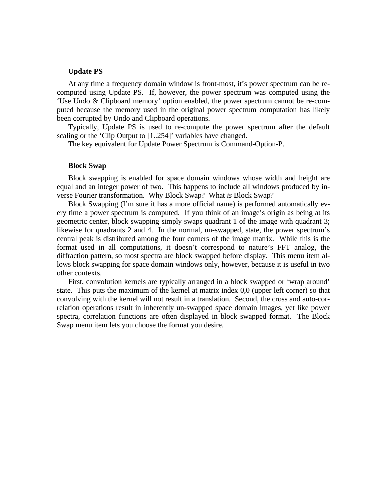## **Update PS**

At any time a frequency domain window is front-most, it's power spectrum can be recomputed using Update PS. If, however, the power spectrum was computed using the 'Use Undo & Clipboard memory' option enabled, the power spectrum cannot be re-computed because the memory used in the original power spectrum computation has likely been corrupted by Undo and Clipboard operations.

Typically, Update PS is used to re-compute the power spectrum after the default scaling or the 'Clip Output to [1..254]' variables have changed.

The key equivalent for Update Power Spectrum is Command-Option-P.

## **Block Swap**

Block swapping is enabled for space domain windows whose width and height are equal and an integer power of two. This happens to include all windows produced by inverse Fourier transformation. Why Block Swap? What *is* Block Swap?

Block Swapping (I'm sure it has a more official name) is performed automatically every time a power spectrum is computed. If you think of an image's origin as being at its geometric center, block swapping simply swaps quadrant 1 of the image with quadrant 3; likewise for quadrants 2 and 4. In the normal, un-swapped, state, the power spectrum's central peak is distributed among the four corners of the image matrix. While this is the format used in all computations, it doesn't correspond to nature's FFT analog, the diffraction pattern, so most spectra are block swapped before display. This menu item allows block swapping for space domain windows only, however, because it is useful in two other contexts.

First, convolution kernels are typically arranged in a block swapped or 'wrap around' state. This puts the maximum of the kernel at matrix index 0,0 (upper left corner) so that convolving with the kernel will not result in a translation. Second, the cross and auto-correlation operations result in inherently un-swapped space domain images, yet like power spectra, correlation functions are often displayed in block swapped format. The Block Swap menu item lets you choose the format you desire.